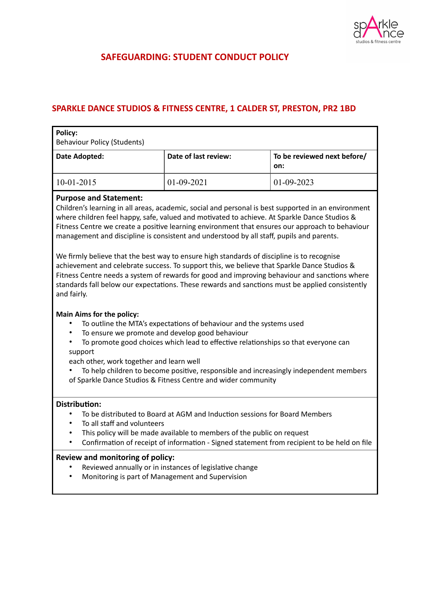

# **SAFEGUARDING: STUDENT CONDUCT POLICY**

# **SPARKLE DANCE STUDIOS & FITNESS CENTRE, 1 CALDER ST, PRESTON, PR2 1BD**

| Date of last review: | To be reviewed next before/<br>on: |
|----------------------|------------------------------------|
| $01-09-2021$         | $01-09-2023$                       |
|                      |                                    |

#### **Purpose and Statement:**

Children's learning in all areas, academic, social and personal is best supported in an environment where children feel happy, safe, valued and motivated to achieve. At Sparkle Dance Studios & Fitness Centre we create a positive learning environment that ensures our approach to behaviour management and discipline is consistent and understood by all staff, pupils and parents.

We firmly believe that the best way to ensure high standards of discipline is to recognise achievement and celebrate success. To support this, we believe that Sparkle Dance Studios & Fitness Centre needs a system of rewards for good and improving behaviour and sanctions where standards fall below our expectations. These rewards and sanctions must be applied consistently and fairly.

# **Main Aims for the policy:**

- To outline the MTA's expectations of behaviour and the systems used
- To ensure we promote and develop good behaviour
- To promote good choices which lead to effective relationships so that everyone can support

each other, work together and learn well

• To help children to become positive, responsible and increasingly independent members of Sparkle Dance Studios & Fitness Centre and wider community

# **Distribution:**

- To be distributed to Board at AGM and Induction sessions for Board Members
- To all staff and volunteers
- This policy will be made available to members of the public on request
- Confirmation of receipt of information Signed statement from recipient to be held on file

#### **Review and monitoring of policy:**

- Reviewed annually or in instances of legislative change
- Monitoring is part of Management and Supervision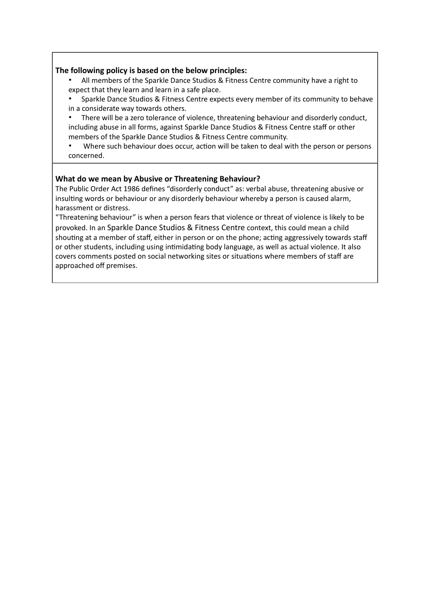#### **The following policy is based on the below principles:**

- All members of the Sparkle Dance Studios & Fitness Centre community have a right to expect that they learn and learn in a safe place.
- Sparkle Dance Studios & Fitness Centre expects every member of its community to behave in a considerate way towards others.
- There will be a zero tolerance of violence, threatening behaviour and disorderly conduct, including abuse in all forms, against Sparkle Dance Studios & Fitness Centre staff or other members of the Sparkle Dance Studios & Fitness Centre community.
- Where such behaviour does occur, action will be taken to deal with the person or persons concerned.

#### **What do we mean by Abusive or Threatening Behaviour?**

The Public Order Act 1986 defines "disorderly conduct" as: verbal abuse, threatening abusive or insulting words or behaviour or any disorderly behaviour whereby a person is caused alarm, harassment or distress.

"Threatening behaviour" is when a person fears that violence or threat of violence is likely to be provoked. In an Sparkle Dance Studios & Fitness Centre context, this could mean a child shouting at a member of staff, either in person or on the phone; acting aggressively towards staff or other students, including using intimidating body language, as well as actual violence. It also covers comments posted on social networking sites or situations where members of staff are approached off premises.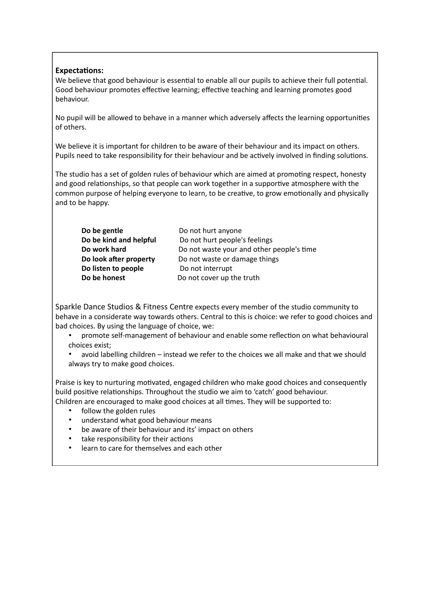# **Expectations:**

We believe that good behaviour is essential to enable all our pupils to achieve their full potential. Good behaviour promotes effective learning; effective teaching and learning promotes good behaviour.

No pupil will be allowed to behave in a manner which adversely affects the learning opportunities of others.

We believe it is important for children to be aware of their behaviour and its impact on others. Pupils need to take responsibility for their behaviour and be actively involved in finding solutions.

The studio has a set of golden rules of behaviour which are aimed at promoting respect, honesty and good relationships, so that people can work together in a supportive atmosphere with the common purpose of helping everyone to learn, to be creative, to grow emotionally and physically and to be happy.

| Do be gentle           |
|------------------------|
| Do be kind and helpful |
| Do work hard           |
| Do look after property |
| Do listen to people    |
| Do be honest           |

Do not hurt anyone Do not hurt people's feelings Do not waste your and other people's time Do not waste or damage things **Do not interrupt** Do not cover up the truth

Sparkle Dance Studios & Fitness Centre expects every member of the studio community to behave in a considerate way towards others. Central to this is choice: we refer to good choices and bad choices. By using the language of choice, we:

• promote self-management of behaviour and enable some reflection on what behavioural choices exist;

• avoid labelling children – instead we refer to the choices we all make and that we should always try to make good choices.

Praise is key to nurturing motivated, engaged children who make good choices and consequently build positive relationships. Throughout the studio we aim to 'catch' good behaviour. Children are encouraged to make good choices at all times. They will be supported to:

- follow the golden rules
- understand what good behaviour means
- be aware of their behaviour and its' impact on others
- take responsibility for their actions
- learn to care for themselves and each other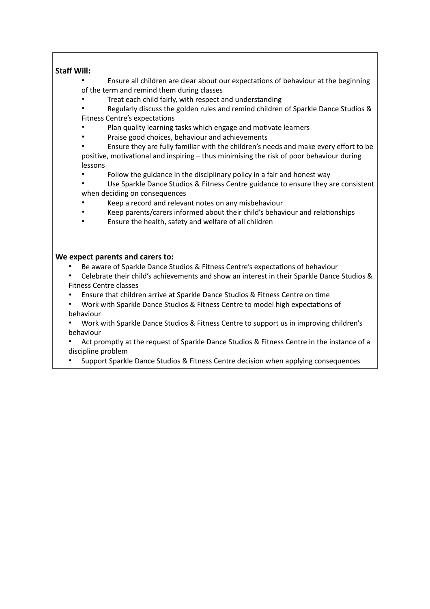# **Staff Will:**

• Ensure all children are clear about our expectations of behaviour at the beginning of the term and remind them during classes

- Treat each child fairly, with respect and understanding
- Regularly discuss the golden rules and remind children of Sparkle Dance Studios & Fitness Centre's expectations
- Plan quality learning tasks which engage and motivate learners
- Praise good choices, behaviour and achievements

• Ensure they are fully familiar with the children's needs and make every effort to be positive, motivational and inspiring – thus minimising the risk of poor behaviour during lessons

• Follow the guidance in the disciplinary policy in a fair and honest way

Use Sparkle Dance Studios & Fitness Centre guidance to ensure they are consistent when deciding on consequences

- Keep a record and relevant notes on any misbehaviour
- Keep parents/carers informed about their child's behaviour and relationships
- Ensure the health, safety and welfare of all children

#### **We expect parents and carers to:**

- Be aware of Sparkle Dance Studios & Fitness Centre's expectations of behaviour
- Celebrate their child's achievements and show an interest in their Sparkle Dance Studios & Fitness Centre classes
- Ensure that children arrive at Sparkle Dance Studios & Fitness Centre on time
- Work with Sparkle Dance Studios & Fitness Centre to model high expectations of behaviour
- Work with Sparkle Dance Studios & Fitness Centre to support us in improving children's behaviour
- Act promptly at the request of Sparkle Dance Studios & Fitness Centre in the instance of a discipline problem
- Support Sparkle Dance Studios & Fitness Centre decision when applying consequences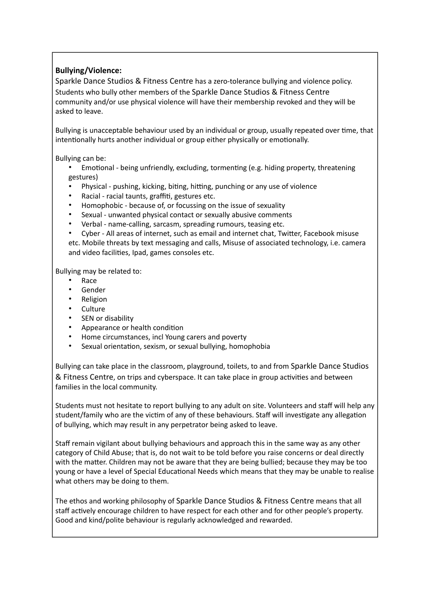# **Bullying/Violence:**

Sparkle Dance Studios & Fitness Centre has a zero-tolerance bullying and violence policy. Students who bully other members of the Sparkle Dance Studios & Fitness Centre community and/or use physical violence will have their membership revoked and they will be asked to leave.

Bullying is unacceptable behaviour used by an individual or group, usually repeated over time, that intentionally hurts another individual or group either physically or emotionally.

Bullying can be:

- Emotional being unfriendly, excluding, tormenting (e.g. hiding property, threatening gestures)
- Physical pushing, kicking, biting, hitting, punching or any use of violence
- Racial racial taunts, graffiti, gestures etc.
- Homophobic because of, or focussing on the issue of sexuality
- Sexual unwanted physical contact or sexually abusive comments
- Verbal name-calling, sarcasm, spreading rumours, teasing etc.
- Cyber All areas of internet, such as email and internet chat, Twitter, Facebook misuse etc. Mobile threats by text messaging and calls, Misuse of associated technology, i.e. camera and video facilities, Ipad, games consoles etc.

Bullying may be related to:

- Race
- Gender
- Religion
- **Culture**
- SEN or disability
- Appearance or health condition
- Home circumstances, incl Young carers and poverty
- Sexual orientation, sexism, or sexual bullying, homophobia

Bullying can take place in the classroom, playground, toilets, to and from Sparkle Dance Studios & Fitness Centre, on trips and cyberspace. It can take place in group activities and between families in the local community.

Students must not hesitate to report bullying to any adult on site. Volunteers and staff will help any student/family who are the victim of any of these behaviours. Staff will investigate any allegation of bullying, which may result in any perpetrator being asked to leave.

Staff remain vigilant about bullying behaviours and approach this in the same way as any other category of Child Abuse; that is, do not wait to be told before you raise concerns or deal directly with the matter. Children may not be aware that they are being bullied; because they may be too young or have a level of Special Educational Needs which means that they may be unable to realise what others may be doing to them.

The ethos and working philosophy of Sparkle Dance Studios & Fitness Centre means that all staff actively encourage children to have respect for each other and for other people's property. Good and kind/polite behaviour is regularly acknowledged and rewarded.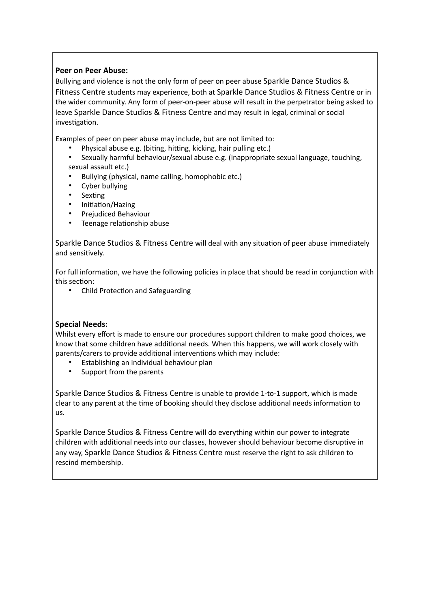# **Peer on Peer Abuse:**

Bullying and violence is not the only form of peer on peer abuse Sparkle Dance Studios & Fitness Centre students may experience, both at Sparkle Dance Studios & Fitness Centre or in the wider community. Any form of peer-on-peer abuse will result in the perpetrator being asked to leave Sparkle Dance Studios & Fitness Centre and may result in legal, criminal or social investigation.

Examples of peer on peer abuse may include, but are not limited to:

- Physical abuse e.g. (biting, hitting, kicking, hair pulling etc.)
- Sexually harmful behaviour/sexual abuse e.g. (inappropriate sexual language, touching, sexual assault etc.)
- Bullying (physical, name calling, homophobic etc.)
- Cyber bullying
- **Sexting**
- Initiation/Hazing
- Prejudiced Behaviour
- Teenage relationship abuse

Sparkle Dance Studios & Fitness Centre will deal with any situation of peer abuse immediately and sensitively.

For full information, we have the following policies in place that should be read in conjunction with this section:

• Child Protection and Safeguarding

# **Special Needs:**

Whilst every effort is made to ensure our procedures support children to make good choices, we know that some children have additional needs. When this happens, we will work closely with parents/carers to provide additional interventions which may include:

- Establishing an individual behaviour plan
- Support from the parents

Sparkle Dance Studios & Fitness Centre is unable to provide 1-to-1 support, which is made clear to any parent at the time of booking should they disclose additional needs information to us.

Sparkle Dance Studios & Fitness Centre will do everything within our power to integrate children with additional needs into our classes, however should behaviour become disruptive in any way, Sparkle Dance Studios & Fitness Centre must reserve the right to ask children to rescind membership.